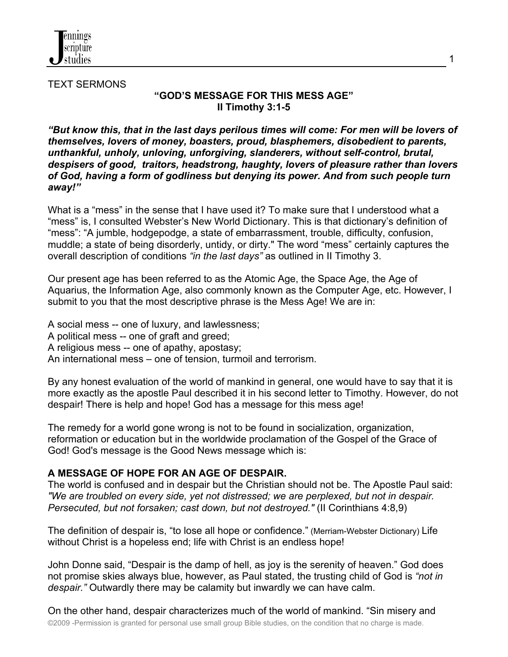

TEXT SERMONS

### **"GOD'S MESSAGE FOR THIS MESS AGE" II Timothy 3:1-5**

*"But know this, that in the last days perilous times will come: For men will be lovers of themselves, lovers of money, boasters, proud, blasphemers, disobedient to parents, unthankful, unholy, unloving, unforgiving, slanderers, without self-control, brutal, despisers of good, traitors, headstrong, haughty, lovers of pleasure rather than lovers of God, having a form of godliness but denying its power. And from such people turn away!"*

What is a "mess" in the sense that I have used it? To make sure that I understood what a "mess" is, I consulted Webster's New World Dictionary. This is that dictionary's definition of "mess": "A jumble, hodgepodge, a state of embarrassment, trouble, difficulty, confusion, muddle; a state of being disorderly, untidy, or dirty." The word "mess" certainly captures the overall description of conditions *"in the last days"* as outlined in II Timothy 3.

Our present age has been referred to as the Atomic Age, the Space Age, the Age of Aquarius, the Information Age, also commonly known as the Computer Age, etc. However, I submit to you that the most descriptive phrase is the Mess Age! We are in:

A social mess -- one of luxury, and lawlessness;

A political mess -- one of graft and greed;

A religious mess -- one of apathy, apostasy;

An international mess – one of tension, turmoil and terrorism.

By any honest evaluation of the world of mankind in general, one would have to say that it is more exactly as the apostle Paul described it in his second letter to Timothy. However, do not despair! There is help and hope! God has a message for this mess age!

The remedy for a world gone wrong is not to be found in socialization, organization, reformation or education but in the worldwide proclamation of the Gospel of the Grace of God! God's message is the Good News message which is:

# **A MESSAGE OF HOPE FOR AN AGE OF DESPAIR.**

The world is confused and in despair but the Christian should not be. The Apostle Paul said: *"We are troubled on every side, yet not distressed; we are perplexed, but not in despair. Persecuted, but not forsaken; cast down, but not destroyed."* (II Corinthians 4:8,9)

The definition of despair is, "to lose all hope or confidence." (Merriam-Webster Dictionary) Life without Christ is a hopeless end; life with Christ is an endless hope!

John Donne said, "Despair is the damp of hell, as joy is the serenity of heaven." God does not promise skies always blue, however, as Paul stated, the trusting child of God is *"not in despair."* Outwardly there may be calamity but inwardly we can have calm.

©2009 -Permission is granted for personal use small group Bible studies, on the condition that no charge is made. On the other hand, despair characterizes much of the world of mankind. "Sin misery and 1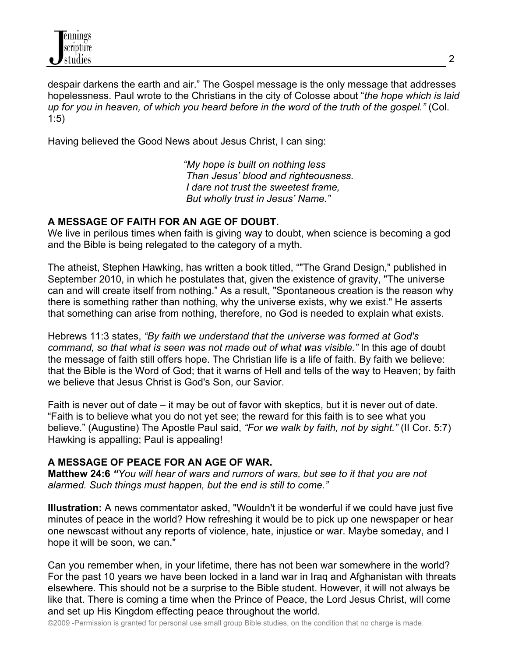despair darkens the earth and air." The Gospel message is the only message that addresses hopelessness. Paul wrote to the Christians in the city of Colosse about "*the hope which is laid up for you in heaven, of which you heard before in the word of the truth of the gospel."* (Col. 1:5)

Having believed the Good News about Jesus Christ, I can sing:

 *"My hope is built on nothing less Than Jesus' blood and righteousness. I dare not trust the sweetest frame, But wholly trust in Jesus' Name."*

### **A MESSAGE OF FAITH FOR AN AGE OF DOUBT.**

We live in perilous times when faith is giving way to doubt, when science is becoming a god and the Bible is being relegated to the category of a myth.

The atheist, Stephen Hawking, has written a book titled, ""The Grand Design," published in September 2010, in which he postulates that, given the existence of gravity, "The universe can and will create itself from nothing." As a result, "Spontaneous creation is the reason why there is something rather than nothing, why the universe exists, why we exist." He asserts that something can arise from nothing, therefore, no God is needed to explain what exists.

Hebrews 11:3 states, *"By faith we understand that the universe was formed at God's command, so that what is seen was not made out of what was visible."* In this age of doubt the message of faith still offers hope. The Christian life is a life of faith. By faith we believe: that the Bible is the Word of God; that it warns of Hell and tells of the way to Heaven; by faith we believe that Jesus Christ is God's Son, our Savior.

Faith is never out of date – it may be out of favor with skeptics, but it is never out of date. "Faith is to believe what you do not yet see; the reward for this faith is to see what you believe." (Augustine) The Apostle Paul said, *"For we walk by faith, not by sight."* (II Cor. 5:7) Hawking is appalling; Paul is appealing!

# **A MESSAGE OF PEACE FOR AN AGE OF WAR.**

**Matthew 24:6** *"You will hear of wars and rumors of wars, but see to it that you are not alarmed. Such things must happen, but the end is still to come."*

**Illustration:** A news commentator asked, "Wouldn't it be wonderful if we could have just five minutes of peace in the world? How refreshing it would be to pick up one newspaper or hear one newscast without any reports of violence, hate, injustice or war. Maybe someday, and I hope it will be soon, we can."

Can you remember when, in your lifetime, there has not been war somewhere in the world? For the past 10 years we have been locked in a land war in Iraq and Afghanistan with threats elsewhere. This should not be a surprise to the Bible student. However, it will not always be like that. There is coming a time when the Prince of Peace, the Lord Jesus Christ, will come and set up His Kingdom effecting peace throughout the world.

©2009 -Permission is granted for personal use small group Bible studies, on the condition that no charge is made.